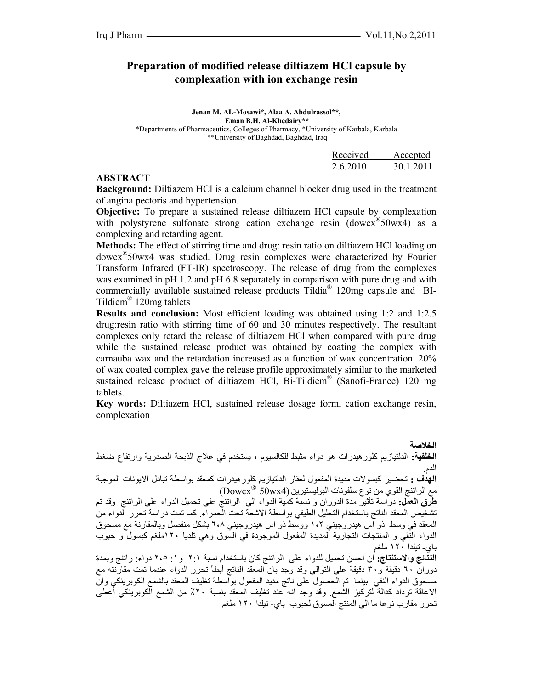## **Preparation of modified release diltiazem HCl capsule by complexation with ion exchange resin**

**Jenan M. AL-Mosawi\*, Alaa A. Abdulrassol\*\*, Eman B.H. Al-Khedairy\*\***  \*Departments of Pharmaceutics, Colleges of Pharmacy, \*University of Karbala, Karbala \*\*University of Baghdad, Baghdad, Iraq

|          | Received Accepted |
|----------|-------------------|
| 2.6.2010 | 30.1.2011         |

#### **ABSTRACT**

**Background:** Diltiazem HCl is a calcium channel blocker drug used in the treatment of angina pectoris and hypertension.

**Objective:** To prepare a sustained release diltiazem HCl capsule by complexation with polystyrene sulfonate strong cation exchange resin (dowex<sup>®</sup>50wx4) as a complexing and retarding agent.

**Methods:** The effect of stirring time and drug: resin ratio on diltiazem HCl loading on dowex®50wx4 was studied. Drug resin complexes were characterized by Fourier Transform Infrared (FT-IR) spectroscopy. The release of drug from the complexes was examined in pH 1.2 and pH 6.8 separately in comparison with pure drug and with commercially available sustained release products Tildia® 120mg capsule and BI-Tildiem® 120mg tablets

**Results and conclusion:** Most efficient loading was obtained using 1:2 and 1:2.5 drug:resin ratio with stirring time of 60 and 30 minutes respectively. The resultant complexes only retard the release of diltiazem HCl when compared with pure drug while the sustained release product was obtained by coating the complex with carnauba wax and the retardation increased as a function of wax concentration. 20% of wax coated complex gave the release profile approximately similar to the marketed sustained release product of diltiazem HCl, Bi-Tildiem® (Sanofi-France) 120 mg tablets.

**Key words:** Diltiazem HCl, sustained release dosage form, cation exchange resin, complexation

**الخلاصة الخلفية:** الدلتيازيم آلورهيدرات هو دواء مثبط للكالسيوم ، يستخدم في علاج الذبحة الصدرية وارتفاع ضغط الدم. ا**لهدف :** تحضير كبسو لات مديدة المفعول لعقار الدلتيازيم كلور هيدرات كمعقد بواسطة تبادل الايونات الموجبة مع الراتنج القوي من نوع سلفونات البوليستيرين Dowex ( ® 50wx4) **طرق العمل:** دراسة تأثير مدة الدوران و نسبة آمية الدواء الى الراتنج على تحميل الدواء على الراتنج وقد تم تشخيص المعقد الناتج باستخدام التحليل الطيفي بواسطة الاشعة تحت الحمراء. آما تمت دراسة تحرر الدواء من المعقد في وسط ذو اس هيدروجيني ١،٢ ووسط ذو اس هيدروجيني ٦،٨ بشكل منفصل وبالمقارنة مع مسحوق الدواء النقي و المنتجات التجارية المديدة المفعول الموجودة في السوق وهي تلديا ١٢٠ملغم كبسول و حبوب باي- تيلدا ١٢٠ ملغم ا**لنتائج والاستنتاج:** ان احسن تحميل للدواء على الراتنج كان باستخدام نسبة ٢:١ و ١: ٢،٥ دواء: راتنج وبمدة دوران ٦٠ دقيقة و٣٠ دقيقة على التوالي وقد وجد بان المعقد الناتج أبطأ تحرر الدواء عندما تمت مقارنته مع مسحوق الدواء النقي بينما تم الحصول على ناتج مديد المفعول بواسطة تغليف المعقد بالشمع الكوبرينكي وان الاعاقة تزداد كدالة لتركيز الشمع. وقد وجد انه عند تغليف المعقد بنسبة ٢٠٪ من الشمع الكوبرينكي أعطى

تحرر مقارب نوعا ما الى المنتج المسوق لحبوب باي- تيلدا ١٢٠ ملغم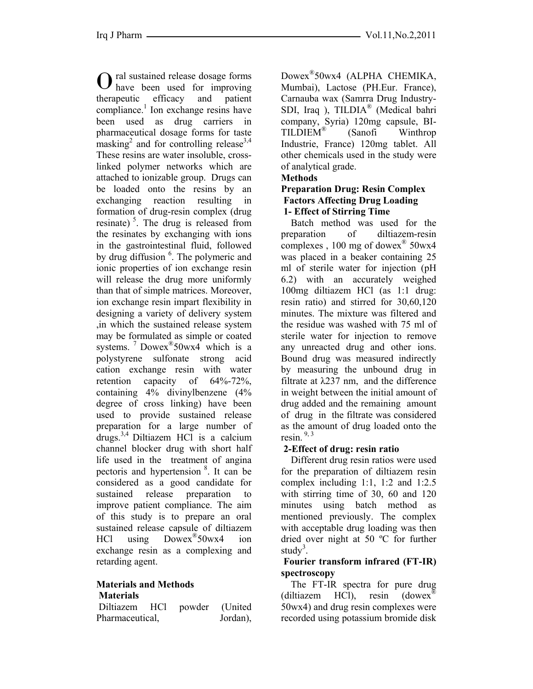ral sustained release dosage forms have been used for improving Otherapeutic efficacy and patient compliance.<sup>1</sup> Ion exchange resins have been used as drug carriers in pharmaceutical dosage forms for taste  $\text{masking}^2$  and for controlling release<sup>3,4</sup> These resins are water insoluble, crosslinked polymer networks which are attached to ionizable group. Drugs can be loaded onto the resins by an exchanging reaction resulting in formation of drug-resin complex (drug resinate)<sup>5</sup>. The drug is released from the resinates by exchanging with ions in the gastrointestinal fluid, followed by drug diffusion <sup>6</sup>. The polymeric and ionic properties of ion exchange resin will release the drug more uniformly than that of simple matrices. Moreover, ion exchange resin impart flexibility in designing a variety of delivery system ,in which the sustained release system may be formulated as simple or coated systems. <sup>7</sup> Dowex<sup>®</sup>50wx4 which is a polystyrene sulfonate strong acid cation exchange resin with water retention capacity of 64%-72%, containing 4% divinylbenzene (4% degree of cross linking) have been used to provide sustained release preparation for a large number of drugs.3,4 Diltiazem HCl is a calcium channel blocker drug with short half life used in the treatment of angina pectoris and hypertension 8. It can be considered as a good candidate for sustained release preparation to improve patient compliance. The aim of this study is to prepare an oral sustained release capsule of diltiazem HCl using Dowex®50wx4 ion exchange resin as a complexing and retarding agent.

#### **Materials and Methods Materials**

 Diltiazem HCl powder (United Pharmaceutical, Jordan),

Dowex®50wx4 (ALPHA CHEMIKA, Mumbai), Lactose (PH.Eur. France), Carnauba wax (Samrra Drug Industry-SDI, Iraq ), TILDIA® (Medical bahri company, Syria) 120mg capsule, BI-TILDIEM® (Sanofi Winthrop Industrie, France) 120mg tablet. All other chemicals used in the study were of analytical grade.

## **Methods**

### **Preparation Drug: Resin Complex Factors Affecting Drug Loading 1- Effect of Stirring Time**

 Batch method was used for the preparation of diltiazem-resin complexes,  $100 \text{ mg of}$  dowex<sup>®</sup> 50wx4 was placed in a beaker containing 25 ml of sterile water for injection (pH 6.2) with an accurately weighed 100mg diltiazem HCl (as 1:1 drug: resin ratio) and stirred for 30,60,120 minutes. The mixture was filtered and the residue was washed with 75 ml of sterile water for injection to remove any unreacted drug and other ions. Bound drug was measured indirectly by measuring the unbound drug in filtrate at λ237 nm, and the difference in weight between the initial amount of drug added and the remaining amount of drug in the filtrate was considered as the amount of drug loaded onto the resin $^{9,3}$ 

# **2-Effect of drug: resin ratio**

 Different drug resin ratios were used for the preparation of diltiazem resin complex including 1:1, 1:2 and 1:2.5 with stirring time of 30, 60 and 120 minutes using batch method as mentioned previously. The complex with acceptable drug loading was then dried over night at 50 ºC for further study<sup>3</sup>.

### **Fourier transform infrared (FT-IR) spectroscopy**

The FT-IR spectra for pure drug (diltiazem HCl), resin (dowex® 50wx4) and drug resin complexes were recorded using potassium bromide disk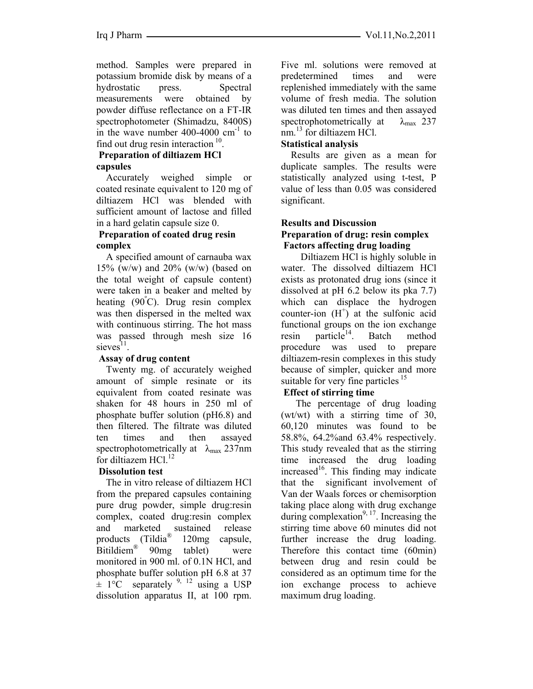method. Samples were prepared in potassium bromide disk by means of a hydrostatic press. Spectral measurements were obtained by powder diffuse reflectance on a FT-IR spectrophotometer (Shimadzu, 8400S) in the wave number  $400-4000$  cm<sup>-1</sup> to find out drug resin interaction  $10$ .

# **Preparation of diltiazem HCl capsules**

 Accurately weighed simple or coated resinate equivalent to 120 mg of diltiazem HCl was blended with sufficient amount of lactose and filled in a hard gelatin capsule size 0.

## **Preparation of coated drug resin complex**

 A specified amount of carnauba wax 15% (w/w) and 20% (w/w) (based on the total weight of capsule content) were taken in a beaker and melted by heating (90°C). Drug resin complex was then dispersed in the melted wax with continuous stirring. The hot mass was passed through mesh size 16  $s$ ieves $^{11}$ .

# **Assay of drug content**

 Twenty mg. of accurately weighed amount of simple resinate or its equivalent from coated resinate was shaken for 48 hours in 250 ml of phosphate buffer solution (pH6.8) and then filtered. The filtrate was diluted ten times and then assayed spectrophotometrically at  $\lambda_{\text{max}}$  237nm for diltiazem HCl.<sup>12</sup>

# **Dissolution test**

 The in vitro release of diltiazem HCl from the prepared capsules containing pure drug powder, simple drug:resin complex, coated drug:resin complex and marketed sustained release products (Tildia<sup>®</sup> 120mg capsule, Bitildiem® 90mg tablet) were monitored in 900 ml. of 0.1N HCl, and phosphate buffer solution pH 6.8 at 37  $\pm$  1°C separately <sup>9, 12</sup> using a USP dissolution apparatus II, at 100 rpm.

Five ml. solutions were removed at predetermined times and were replenished immediately with the same volume of fresh media. The solution was diluted ten times and then assayed spectrophotometrically at  $\lambda_{\text{max}}$  237 nm.<sup>13</sup> for diltiazem HCl.

## **Statistical analysis**

 Results are given as a mean for duplicate samples. The results were statistically analyzed using t-test, P value of less than 0.05 was considered significant.

#### **Results and Discussion Preparation of drug: resin complex Factors affecting drug loading**

 Diltiazem HCl is highly soluble in water. The dissolved diltiazem HCl exists as protonated drug ions (since it dissolved at pH 6.2 below its pka 7.7) which can displace the hydrogen counter-ion  $(H<sup>+</sup>)$  at the sulfonic acid functional groups on the ion exchange resin particle<sup>14</sup>. Batch method procedure was used to prepare diltiazem-resin complexes in this study because of simpler, quicker and more suitable for very fine particles  $15$ 

# **Effect of stirring time**

 The percentage of drug loading (wt/wt) with a stirring time of 30, 60,120 minutes was found to be 58.8%, 64.2%and 63.4% respectively. This study revealed that as the stirring time increased the drug loading increased<sup>16</sup>. This finding may indicate that the significant involvement of Van der Waals forces or chemisorption taking place along with drug exchange during complexation $9, 17$ . Increasing the stirring time above 60 minutes did not further increase the drug loading. Therefore this contact time (60min) between drug and resin could be considered as an optimum time for the ion exchange process to achieve maximum drug loading.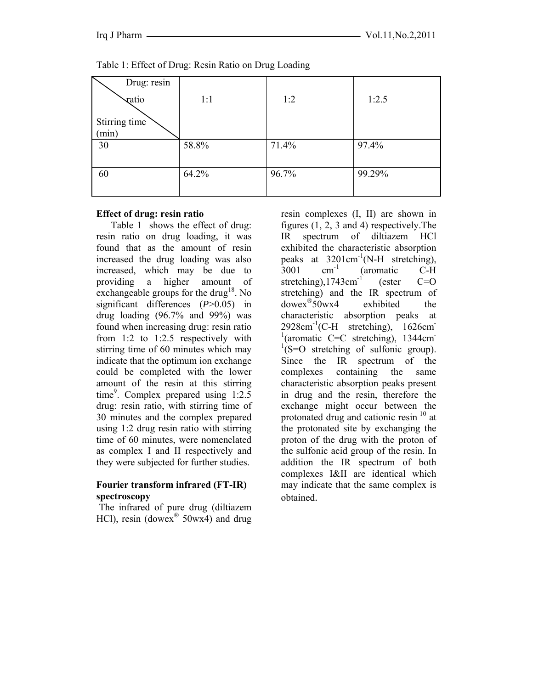| Drug: resin            |       |       |        |
|------------------------|-------|-------|--------|
| vatio                  | 1:1   | 1:2   | 1:2.5  |
| Stirring time<br>(min) |       |       |        |
| 30                     | 58.8% | 71.4% | 97.4%  |
| 60                     | 64.2% | 96.7% | 99.29% |

Table 1: Effect of Drug: Resin Ratio on Drug Loading

#### **Effect of drug: resin ratio**

 Table 1 shows the effect of drug: resin ratio on drug loading, it was found that as the amount of resin increased the drug loading was also increased, which may be due to providing a higher amount of exchangeable groups for the drug<sup>18</sup>. No significant differences (*P*>0.05) in drug loading  $(96.7\%$  and  $99\%)$  was found when increasing drug: resin ratio from 1:2 to 1:2.5 respectively with stirring time of 60 minutes which may indicate that the optimum ion exchange could be completed with the lower amount of the resin at this stirring time<sup>9</sup>. Complex prepared using  $1:2.5$ drug: resin ratio, with stirring time of 30 minutes and the complex prepared using 1:2 drug resin ratio with stirring time of 60 minutes, were nomenclated as complex I and II respectively and they were subjected for further studies.

## **Fourier transform infrared (FT-IR) spectroscopy**

The infrared of pure drug (diltiazem HCl), resin (dowex<sup>®</sup> 50wx4) and drug resin complexes (I, II) are shown in figures (1, 2, 3 and 4) respectively.The IR spectrum of diltiazem HCl exhibited the characteristic absorption peaks at  $3201 \text{cm}^{-1}$  (N-H stretching),<br>3001 cm<sup>-1</sup> (aromatic C-H  $3001$  cm<sup>-1</sup> (aromatic C-H) stretching),1743cm<sup>-1</sup> (ester  $C=O$ stretching) and the IR spectrum of dowex®50wx4 exhibited the characteristic absorption peaks at  $2928 \text{cm}^{-1}$ (C-H stretching), 1626cm <sup>1</sup>(aromatic C=C stretching), 1344cm<sup>-1</sup>  $1(S=O)$  stretching of sulfonic group). Since the IR spectrum of the complexes containing the same characteristic absorption peaks present in drug and the resin, therefore the exchange might occur between the protonated drug and cationic resin  $10$  at the protonated site by exchanging the proton of the drug with the proton of the sulfonic acid group of the resin. In addition the IR spectrum of both complexes I&II are identical which may indicate that the same complex is obtained.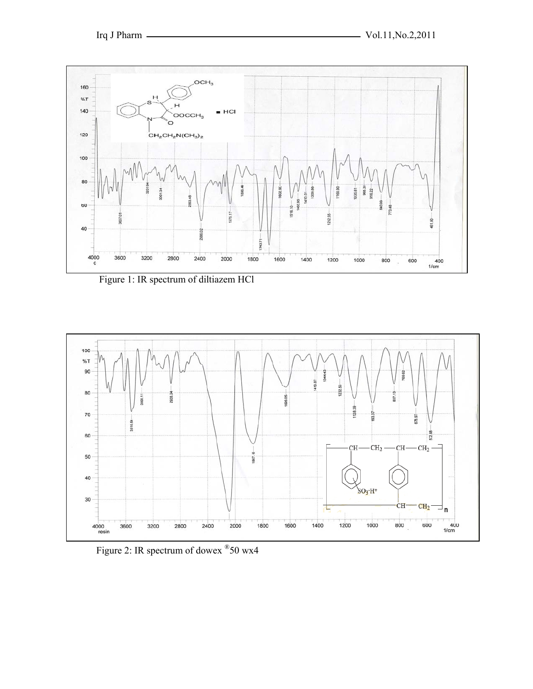

Figure 1: IR spectrum of diltiazem HCl



Figure 2: IR spectrum of dowex ®50 wx4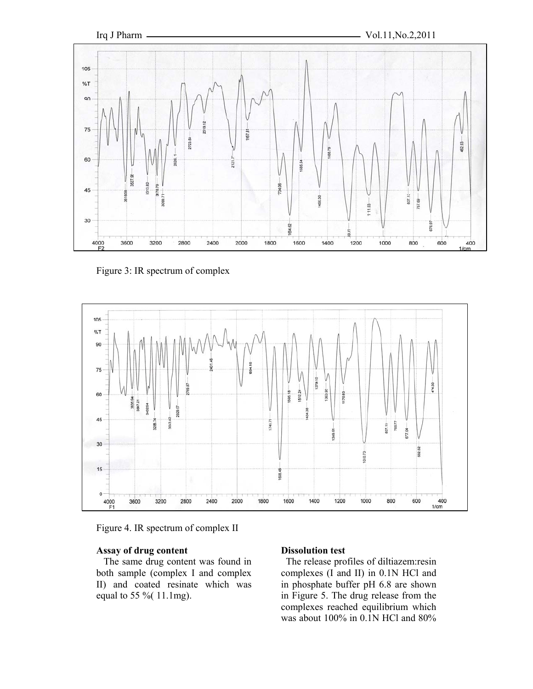

Figure 3: IR spectrum of complex



Figure 4. IR spectrum of complex II

### **Assay of drug content**

 The same drug content was found in both sample (complex I and complex II) and coated resinate which was equal to 55 %( 11.1mg).

### **Dissolution test**

 The release profiles of diltiazem:resin complexes (I and II) in 0.1N HCl and in phosphate buffer pH 6.8 are shown in Figure 5. The drug release from the complexes reached equilibrium which was about 100% in 0.1N HCl and 80%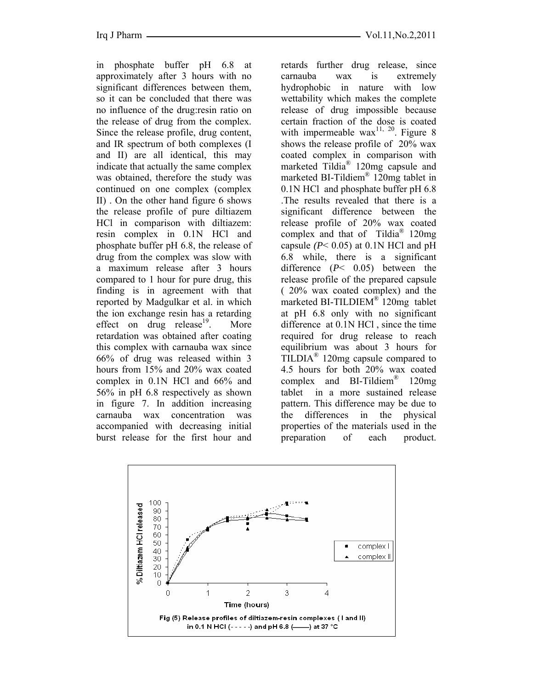in phosphate buffer pH 6.8 at approximately after 3 hours with no significant differences between them, so it can be concluded that there was no influence of the drug:resin ratio on the release of drug from the complex. Since the release profile, drug content, and IR spectrum of both complexes (I and II) are all identical, this may indicate that actually the same complex was obtained, therefore the study was continued on one complex (complex II) . On the other hand figure 6 shows the release profile of pure diltiazem HCl in comparison with diltiazem: resin complex in 0.1N HCl and phosphate buffer pH 6.8, the release of drug from the complex was slow with a maximum release after 3 hours compared to 1 hour for pure drug, this finding is in agreement with that reported by Madgulkar et al. in which the ion exchange resin has a retarding effect on drug release<sup>19</sup>. More retardation was obtained after coating this complex with carnauba wax since 66% of drug was released within 3 hours from 15% and 20% wax coated complex in 0.1N HCl and 66% and 56% in pH 6.8 respectively as shown in figure 7. In addition increasing carnauba wax concentration was accompanied with decreasing initial burst release for the first hour and

retards further drug release, since carnauba wax is extremely hydrophobic in nature with low wettability which makes the complete release of drug impossible because certain fraction of the dose is coated with impermeable wax<sup>11, 20</sup>. Figure 8 shows the release profile of 20% wax coated complex in comparison with marketed Tildia® 120mg capsule and marketed BI-Tildiem® 120mg tablet in 0.1N HCl and phosphate buffer pH 6.8 .The results revealed that there is a significant difference between the release profile of 20% wax coated complex and that of Tildia® 120mg capsule  $(P< 0.05)$  at 0.1N HCl and pH 6.8 while, there is a significant difference (*P*< 0.05) between the release profile of the prepared capsule ( 20% wax coated complex) and the marketed BI-TILDIEM® 120mg tablet at pH 6.8 only with no significant difference at 0.1N HCl , since the time required for drug release to reach equilibrium was about 3 hours for TILDIA® 120mg capsule compared to 4.5 hours for both 20% wax coated complex and BI-Tildiem® 120mg tablet in a more sustained release pattern. This difference may be due to the differences in the physical properties of the materials used in the preparation of each product.

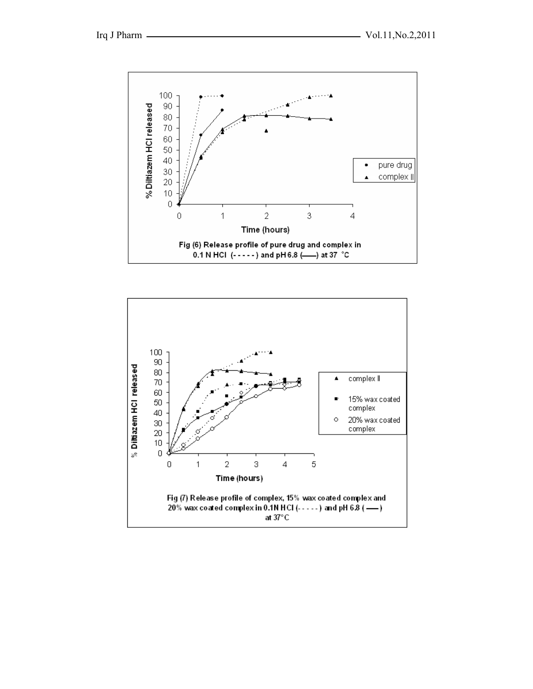

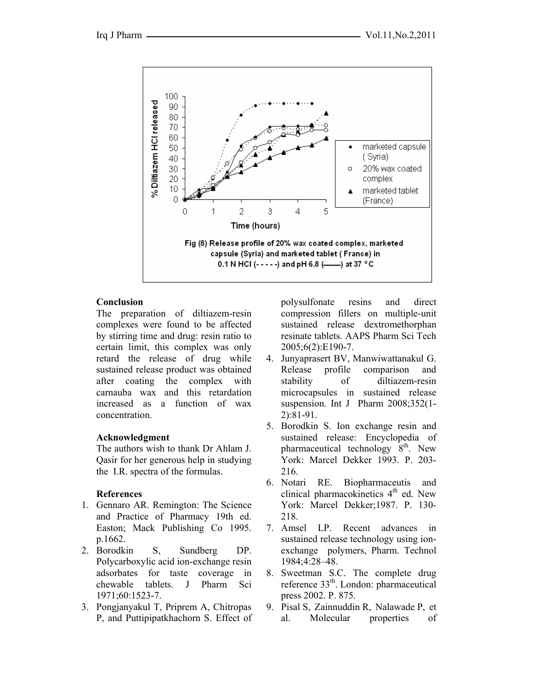

## **Conclusion**

The preparation of diltiazem-resin complexes were found to be affected by stirring time and drug: resin ratio to certain limit, this complex was only retard the release of drug while sustained release product was obtained after coating the complex with carnauba wax and this retardation increased as a function of wax concentration.

### **Acknowledgment**

The authors wish to thank Dr Ahlam J. Qasir for her generous help in studying the I.R. spectra of the formulas.

### **References**

- 1. Gennaro AR. Remington: The Science and Practice of Pharmacy 19th ed. Easton; Mack Publishing Co 1995. p.1662.
- 2. Borodkin S, Sundberg DP. Polycarboxylic acid ion-exchange resin adsorbates for taste coverage in chewable tablets. J Pharm Sci 1971;60:1523-7.
- 3. Pongjanyakul T, Priprem A, Chitropas P, and Puttipipatkhachorn S. Effect of

polysulfonate resins and direct compression fillers on multiple-unit sustained release dextromethorphan resinate tablets. AAPS Pharm Sci Tech 2005;6(2):E190-7.

- 4. Junyaprasert BV, Manwiwattanakul G. Release profile comparison and stability of diltiazem-resin microcapsules in sustained release suspension. Int J Pharm 2008;352(1- 2):81-91.
- 5. Borodkin S. Ion exchange resin and sustained release: Encyclopedia of pharmaceutical technology  $8<sup>th</sup>$ . New York: Marcel Dekker 1993. P. 203- 216.
- 6. Notari RE. Biopharmaceutis and clinical pharmacokinetics  $4<sup>th</sup>$  ed. New York: Marcel Dekker;1987. P. 130- 218.
- 7. Amsel LP. Recent advances in sustained release technology using ionexchange polymers, Pharm. Technol 1984;4:28–48.
- 8. Sweetman S.C. The complete drug reference 33th. London: pharmaceutical press 2002. P. 875.
- 9. Pisal S, Zainnuddin R, Nalawade P, et al. Molecular properties of